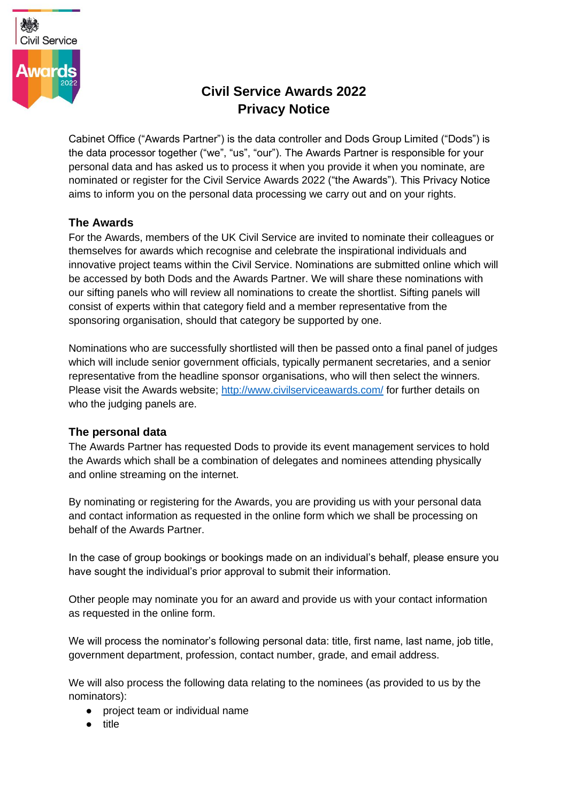

# **Civil Service Awards 2022 Privacy Notice**

Cabinet Office ("Awards Partner") is the data controller and Dods Group Limited ("Dods") is the data processor together ("we", "us", "our"). The Awards Partner is responsible for your personal data and has asked us to process it when you provide it when you nominate, are nominated or register for the Civil Service Awards 2022 ("the Awards"). This Privacy Notice aims to inform you on the personal data processing we carry out and on your rights.

## **The Awards**

For the Awards, members of the UK Civil Service are invited to nominate their colleagues or themselves for awards which recognise and celebrate the inspirational individuals and innovative project teams within the Civil Service. Nominations are submitted online which will be accessed by both Dods and the Awards Partner. We will share these nominations with our sifting panels who will review all nominations to create the shortlist. Sifting panels will consist of experts within that category field and a member representative from the sponsoring organisation, should that category be supported by one.

Nominations who are successfully shortlisted will then be passed onto a final panel of judges which will include senior government officials, typically permanent secretaries, and a senior representative from the headline sponsor organisations, who will then select the winners. Please visit the Awards website[;](http://www.civilserviceawards.com/) <http://www.civilserviceawards.com/> for further details on who the judging panels are.

#### **The personal data**

The Awards Partner has requested Dods to provide its event management services to hold the Awards which shall be a combination of delegates and nominees attending physically and online streaming on the internet.

By nominating or registering for the Awards, you are providing us with your personal data and contact information as requested in the online form which we shall be processing on behalf of the Awards Partner.

In the case of group bookings or bookings made on an individual's behalf, please ensure you have sought the individual's prior approval to submit their information.

Other people may nominate you for an award and provide us with your contact information as requested in the online form.

We will process the nominator's following personal data: title, first name, last name, job title, government department, profession, contact number, grade, and email address.

We will also process the following data relating to the nominees (as provided to us by the nominators):

- project team or individual name
- title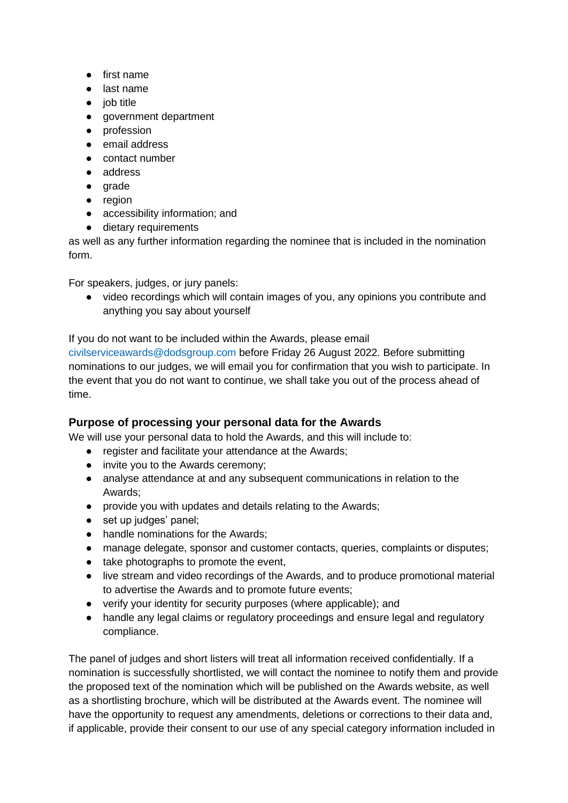- first name
- last name
- job title
- government department
- profession
- email address
- contact number
- address
- grade
- region
- accessibility information; and
- dietary requirements

as well as any further information regarding the nominee that is included in the nomination form.

For speakers, judges, or jury panels:

● video recordings which will contain images of you, any opinions you contribute and anything you say about yourself

If you do not want to be included within the Awards, please email

civilserviceawards@dodsgroup.com before Friday 26 August 2022. Before submitting nominations to our judges, we will email you for confirmation that you wish to participate. In the event that you do not want to continue, we shall take you out of the process ahead of time.

# **Purpose of processing your personal data for the Awards**

We will use your personal data to hold the Awards, and this will include to:

- register and facilitate your attendance at the Awards;
- invite you to the Awards ceremony;
- analyse attendance at and any subsequent communications in relation to the Awards;
- provide you with updates and details relating to the Awards;
- set up judges' panel;
- handle nominations for the Awards;
- manage delegate, sponsor and customer contacts, queries, complaints or disputes;
- take photographs to promote the event,
- live stream and video recordings of the Awards, and to produce promotional material to advertise the Awards and to promote future events;
- verify your identity for security purposes (where applicable); and
- handle any legal claims or regulatory proceedings and ensure legal and regulatory compliance.

The panel of judges and short listers will treat all information received confidentially. If a nomination is successfully shortlisted, we will contact the nominee to notify them and provide the proposed text of the nomination which will be published on the Awards website, as well as a shortlisting brochure, which will be distributed at the Awards event. The nominee will have the opportunity to request any amendments, deletions or corrections to their data and, if applicable, provide their consent to our use of any special category information included in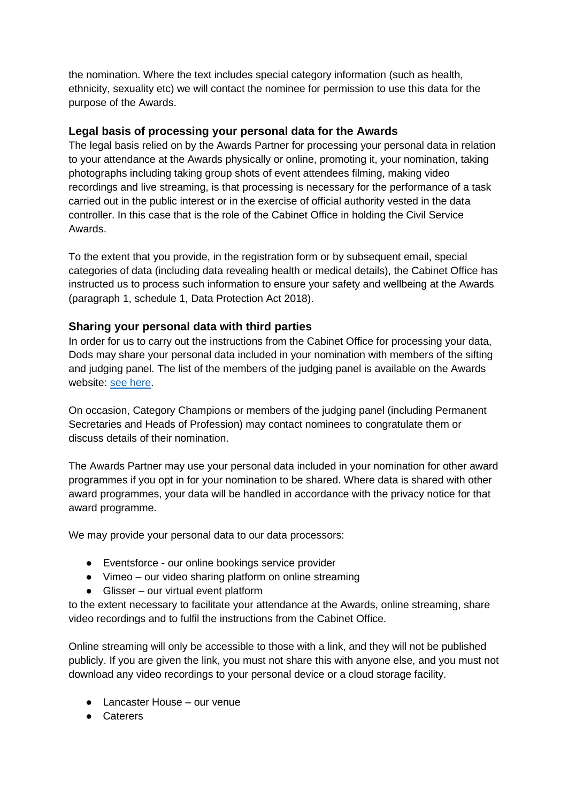the nomination. Where the text includes special category information (such as health, ethnicity, sexuality etc) we will contact the nominee for permission to use this data for the purpose of the Awards.

#### **Legal basis of processing your personal data for the Awards**

The legal basis relied on by the Awards Partner for processing your personal data in relation to your attendance at the Awards physically or online, promoting it, your nomination, taking photographs including taking group shots of event attendees filming, making video recordings and live streaming, is that processing is necessary for the performance of a task carried out in the public interest or in the exercise of official authority vested in the data controller. In this case that is the role of the Cabinet Office in holding the Civil Service Awards.

To the extent that you provide, in the registration form or by subsequent email, special categories of data (including data revealing health or medical details), the Cabinet Office has instructed us to process such information to ensure your safety and wellbeing at the Awards (paragraph 1, schedule 1, Data Protection Act 2018).

#### **Sharing your personal data with third parties**

In order for us to carry out the instructions from the Cabinet Office for processing your data, Dods may share your personal data included in your nomination with members of the sifting and judging panel. The list of the members of the judging panel is available on the Awards website: [see here.](https://www.civilserviceawards.com/category-champion)

On occasion, Category Champions or members of the judging panel (including Permanent Secretaries and Heads of Profession) may contact nominees to congratulate them or discuss details of their nomination.

The Awards Partner may use your personal data included in your nomination for other award programmes if you opt in for your nomination to be shared. Where data is shared with other award programmes, your data will be handled in accordance with the privacy notice for that award programme.

We may provide your personal data to our data processors:

- Eventsforce our online bookings service provider
- Vimeo our video sharing platform on online streaming
- Glisser our virtual event platform

to the extent necessary to facilitate your attendance at the Awards, online streaming, share video recordings and to fulfil the instructions from the Cabinet Office.

Online streaming will only be accessible to those with a link, and they will not be published publicly. If you are given the link, you must not share this with anyone else, and you must not download any video recordings to your personal device or a cloud storage facility.

- Lancaster House our venue
- Caterers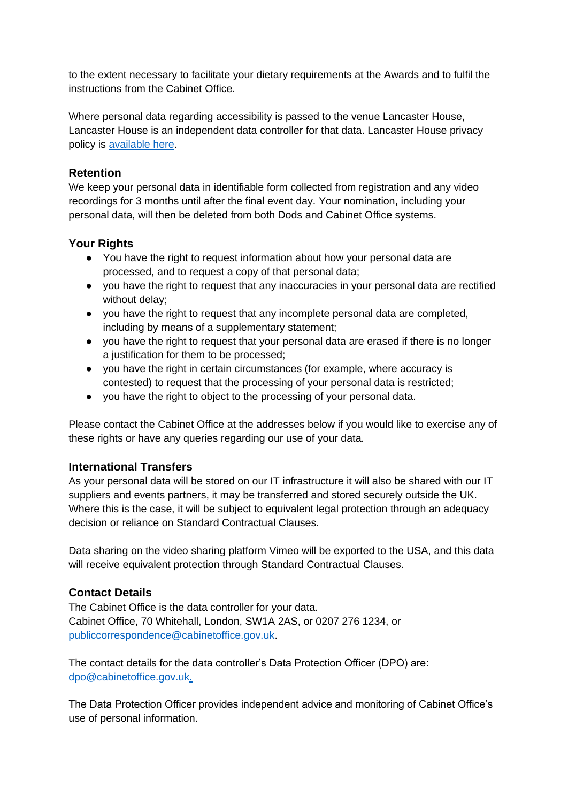to the extent necessary to facilitate your dietary requirements at the Awards and to fulfil the instructions from the Cabinet Office.

Where personal data regarding accessibility is passed to the venue Lancaster House, Lancaster House is an independent data controller for that data. Lancaster House privacy policy i[s](https://www.gov.uk/government/publications/fcdo-as-a-data-controller-privacy-notice) [available here.](https://www.gov.uk/government/publications/fcdo-as-a-data-controller-privacy-notice)

## **Retention**

We keep your personal data in identifiable form collected from registration and any video recordings for 3 months until after the final event day. Your nomination, including your personal data, will then be deleted from both Dods and Cabinet Office systems.

# **Your Rights**

- You have the right to request information about how your personal data are processed, and to request a copy of that personal data;
- you have the right to request that any inaccuracies in your personal data are rectified without delay;
- you have the right to request that any incomplete personal data are completed, including by means of a supplementary statement;
- you have the right to request that your personal data are erased if there is no longer a justification for them to be processed;
- you have the right in certain circumstances (for example, where accuracy is contested) to request that the processing of your personal data is restricted;
- you have the right to object to the processing of your personal data.

Please contact the Cabinet Office at the addresses below if you would like to exercise any of these rights or have any queries regarding our use of your data.

# **International Transfers**

As your personal data will be stored on our IT infrastructure it will also be shared with our IT suppliers and events partners, it may be transferred and stored securely outside the UK. Where this is the case, it will be subject to equivalent legal protection through an adequacy decision or reliance on Standard Contractual Clauses.

Data sharing on the video sharing platform Vimeo will be exported to the USA, and this data will receive equivalent protection through Standard Contractual Clauses.

# **Contact Details**

The Cabinet Office is the data controller for your data. Cabinet Office, 70 Whitehall, London, SW1A 2AS, or 0207 276 1234, or publiccorrespondence@cabinetoffice.gov.uk.

The contact details for the data controller's Data Protection Officer (DPO) are: dpo@cabinetoffice.gov.uk.

The Data Protection Officer provides independent advice and monitoring of Cabinet Office's use of personal information.